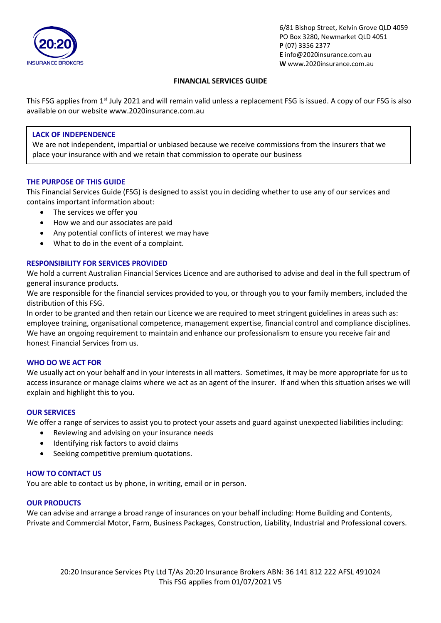

# **FINANCIAL SERVICES GUIDE**

This FSG applies from 1<sup>st</sup> July 2021 and will remain valid unless a replacement FSG is issued. A copy of our FSG is also available on our website www.2020insurance.com.au

# **LACK OF INDEPENDENCE**

We are not independent, impartial or unbiased because we receive commissions from the insurers that we place your insurance with and we retain that commission to operate our business

## **THE PURPOSE OF THIS GUIDE**

This Financial Services Guide (FSG) is designed to assist you in deciding whether to use any of our services and contains important information about:

- The services we offer you
- How we and our associates are paid
- Any potential conflicts of interest we may have
- What to do in the event of a complaint.

# **RESPONSIBILITY FOR SERVICES PROVIDED**

We hold a current Australian Financial Services Licence and are authorised to advise and deal in the full spectrum of general insurance products.

We are responsible for the financial services provided to you, or through you to your family members, included the distribution of this FSG.

In order to be granted and then retain our Licence we are required to meet stringent guidelines in areas such as: employee training, organisational competence, management expertise, financial control and compliance disciplines. We have an ongoing requirement to maintain and enhance our professionalism to ensure you receive fair and honest Financial Services from us.

## **WHO DO WE ACT FOR**

We usually act on your behalf and in your interests in all matters. Sometimes, it may be more appropriate for us to access insurance or manage claims where we act as an agent of the insurer. If and when this situation arises we will explain and highlight this to you.

## **OUR SERVICES**

We offer a range of services to assist you to protect your assets and guard against unexpected liabilities including:

- Reviewing and advising on your insurance needs
- Identifying risk factors to avoid claims
- Seeking competitive premium quotations.

## **HOW TO CONTACT US**

You are able to contact us by phone, in writing, email or in person.

## **OUR PRODUCTS**

We can advise and arrange a broad range of insurances on your behalf including: Home Building and Contents, Private and Commercial Motor, Farm, Business Packages, Construction, Liability, Industrial and Professional covers.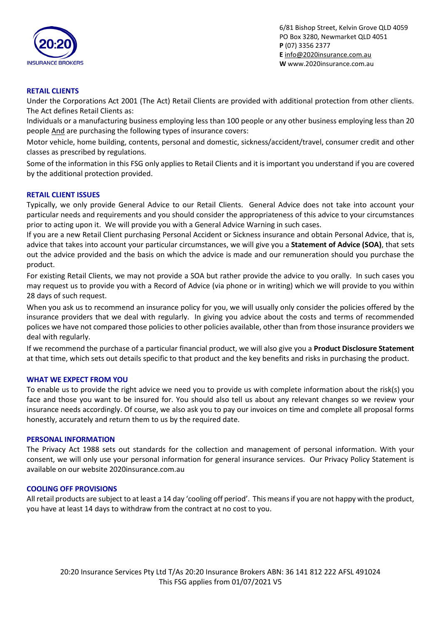

# **RETAIL CLIENTS**

Under the Corporations Act 2001 (The Act) Retail Clients are provided with additional protection from other clients. The Act defines Retail Clients as:

Individuals or a manufacturing business employing less than 100 people or any other business employing less than 20 people And are purchasing the following types of insurance covers:

Motor vehicle, home building, contents, personal and domestic, sickness/accident/travel, consumer credit and other classes as prescribed by regulations.

Some of the information in this FSG only applies to Retail Clients and it is important you understand if you are covered by the additional protection provided.

### **RETAIL CLIENT ISSUES**

Typically, we only provide General Advice to our Retail Clients. General Advice does not take into account your particular needs and requirements and you should consider the appropriateness of this advice to your circumstances prior to acting upon it. We will provide you with a General Advice Warning in such cases.

If you are a new Retail Client purchasing Personal Accident or Sickness insurance and obtain Personal Advice, that is, advice that takes into account your particular circumstances, we will give you a **Statement of Advice (SOA)**, that sets out the advice provided and the basis on which the advice is made and our remuneration should you purchase the product.

For existing Retail Clients, we may not provide a SOA but rather provide the advice to you orally. In such cases you may request us to provide you with a Record of Advice (via phone or in writing) which we will provide to you within 28 days of such request.

When you ask us to recommend an insurance policy for you, we will usually only consider the policies offered by the insurance providers that we deal with regularly. In giving you advice about the costs and terms of recommended polices we have not compared those policies to other policies available, other than from those insurance providers we deal with regularly.

If we recommend the purchase of a particular financial product, we will also give you a **Product Disclosure Statement** at that time, which sets out details specific to that product and the key benefits and risks in purchasing the product.

#### **WHAT WE EXPECT FROM YOU**

To enable us to provide the right advice we need you to provide us with complete information about the risk(s) you face and those you want to be insured for. You should also tell us about any relevant changes so we review your insurance needs accordingly. Of course, we also ask you to pay our invoices on time and complete all proposal forms honestly, accurately and return them to us by the required date.

#### **PERSONAL INFORMATION**

The Privacy Act 1988 sets out standards for the collection and management of personal information. With your consent, we will only use your personal information for general insurance services. Our Privacy Policy Statement is available on our website 2020insurance.com.au

#### **COOLING OFF PROVISIONS**

All retail products are subject to at least a 14 day 'cooling off period'. This means if you are not happy with the product, you have at least 14 days to withdraw from the contract at no cost to you.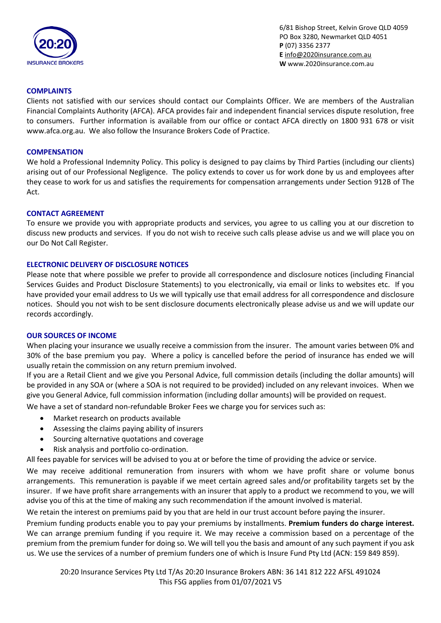

## **COMPLAINTS**

Clients not satisfied with our services should contact our Complaints Officer. We are members of the Australian Financial Complaints Authority (AFCA). AFCA provides fair and independent financial services dispute resolution, free to consumers. Further information is available from our office or contact AFCA directly on 1800 931 678 or visit www.afca.org.au. We also follow the Insurance Brokers Code of Practice.

#### **COMPENSATION**

We hold a Professional Indemnity Policy. This policy is designed to pay claims by Third Parties (including our clients) arising out of our Professional Negligence. The policy extends to cover us for work done by us and employees after they cease to work for us and satisfies the requirements for compensation arrangements under Section 912B of The Act.

### **CONTACT AGREEMENT**

To ensure we provide you with appropriate products and services, you agree to us calling you at our discretion to discuss new products and services. If you do not wish to receive such calls please advise us and we will place you on our Do Not Call Register.

## **ELECTRONIC DELIVERY OF DISCLOSURE NOTICES**

Please note that where possible we prefer to provide all correspondence and disclosure notices (including Financial Services Guides and Product Disclosure Statements) to you electronically, via email or links to websites etc. If you have provided your email address to Us we will typically use that email address for all correspondence and disclosure notices. Should you not wish to be sent disclosure documents electronically please advise us and we will update our records accordingly.

#### **OUR SOURCES OF INCOME**

When placing your insurance we usually receive a commission from the insurer. The amount varies between 0% and 30% of the base premium you pay. Where a policy is cancelled before the period of insurance has ended we will usually retain the commission on any return premium involved.

If you are a Retail Client and we give you Personal Advice, full commission details (including the dollar amounts) will be provided in any SOA or (where a SOA is not required to be provided) included on any relevant invoices. When we give you General Advice, full commission information (including dollar amounts) will be provided on request.

We have a set of standard non-refundable Broker Fees we charge you for services such as:

- Market research on products available
- Assessing the claims paying ability of insurers
- Sourcing alternative quotations and coverage
- Risk analysis and portfolio co-ordination.

All fees payable for services will be advised to you at or before the time of providing the advice or service.

We may receive additional remuneration from insurers with whom we have profit share or volume bonus arrangements. This remuneration is payable if we meet certain agreed sales and/or profitability targets set by the insurer. If we have profit share arrangements with an insurer that apply to a product we recommend to you, we will advise you of this at the time of making any such recommendation if the amount involved is material.

We retain the interest on premiums paid by you that are held in our trust account before paying the insurer.

Premium funding products enable you to pay your premiums by installments. **Premium funders do charge interest.** We can arrange premium funding if you require it. We may receive a commission based on a percentage of the premium from the premium funder for doing so. We will tell you the basis and amount of any such payment if you ask us. We use the services of a number of premium funders one of which is Insure Fund Pty Ltd (ACN: 159 849 859).